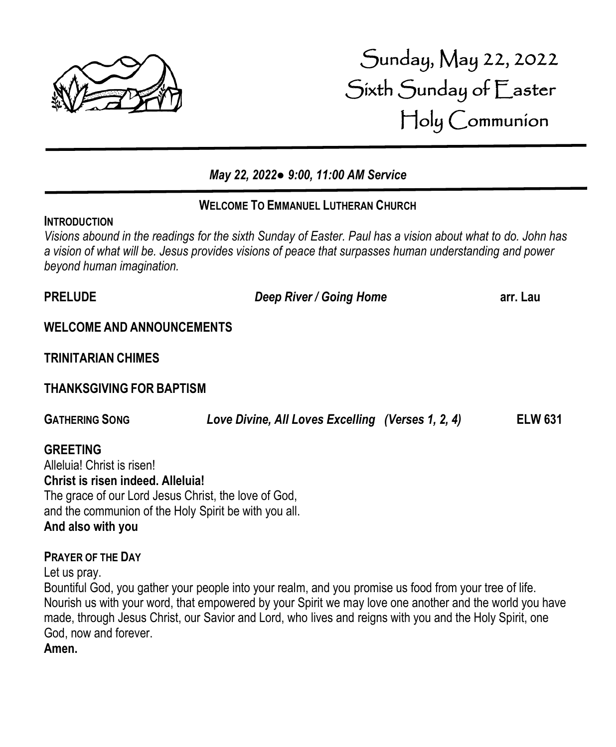

# Sunday, May 22, 2022 Sixth Sunday of Easter Holy Communion

# *May 22, 2022● 9:00, 11:00 AM Service*

# **WELCOME TO EMMANUEL LUTHERAN CHURCH**

### **INTRODUCTION**

:

*Visions abound in the readings for the sixth Sunday of Easter. Paul has a vision about what to do. John has a vision of what will be. Jesus provides visions of peace that surpasses human understanding and power beyond human imagination.*

| <b>PRELUDE</b>                                                                                                                                                                                      | Deep River / Going Home                           | arr. Lau       |
|-----------------------------------------------------------------------------------------------------------------------------------------------------------------------------------------------------|---------------------------------------------------|----------------|
| <b>WELCOME AND ANNOUNCEMENTS</b>                                                                                                                                                                    |                                                   |                |
| <b>TRINITARIAN CHIMES</b>                                                                                                                                                                           |                                                   |                |
| <b>THANKSGIVING FOR BAPTISM</b>                                                                                                                                                                     |                                                   |                |
| <b>GATHERING SONG</b>                                                                                                                                                                               | Love Divine, All Loves Excelling (Verses 1, 2, 4) | <b>ELW 631</b> |
| <b>GREETING</b><br>Alleluia! Christ is risen!<br>Christ is risen indeed. Alleluia!<br>The grace of our Lord Jesus Christ, the love of God,<br>and the communion of the Holy Spirit be with you all. |                                                   |                |

### **And also with you**

# **PRAYER OF THE DAY**

Let us pray.

Bountiful God, you gather your people into your realm, and you promise us food from your tree of life. Nourish us with your word, that empowered by your Spirit we may love one another and the world you have made, through Jesus Christ, our Savior and Lord, who lives and reigns with you and the Holy Spirit, one God, now and forever.

**Amen.**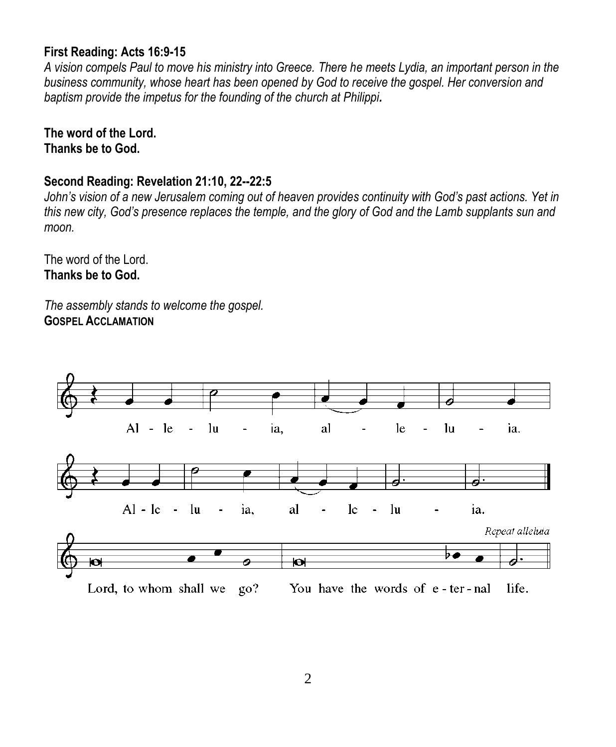### **First Reading: Acts 16:9-15**

*A vision compels Paul to move his ministry into Greece. There he meets Lydia, an important person in the business community, whose heart has been opened by God to receive the gospel. Her conversion and baptism provide the impetus for the founding of the church at Philippi.*

# **The word of the Lord. Thanks be to God.**

# **Second Reading: Revelation 21:10, 22--22:5**

*John's vision of a new Jerusalem coming out of heaven provides continuity with God's past actions. Yet in this new city, God's presence replaces the temple, and the glory of God and the Lamb supplants sun and moon.*

The word of the Lord. **Thanks be to God.**

*The assembly stands to welcome the gospel.* **GOSPEL ACCLAMATION**

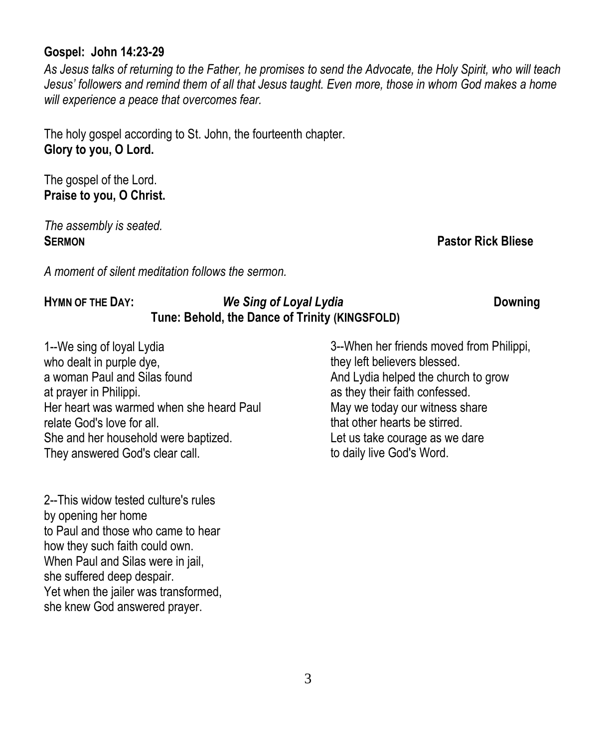### **Gospel: John 14:23-29**

*As Jesus talks of returning to the Father, he promises to send the Advocate, the Holy Spirit, who will teach Jesus' followers and remind them of all that Jesus taught. Even more, those in whom God makes a home will experience a peace that overcomes fear.*

The holy gospel according to St. John, the fourteenth chapter. **Glory to you, O Lord.**

The gospel of the Lord. **Praise to you, O Christ.**

*The assembly is seated.* **SERMON Pastor Rick Bliese**

*A moment of silent meditation follows the sermon.*

# **HYMN OF THE DAY:** *We Sing of Loyal Lydia* **Downing Tune: Behold, the Dance of Trinity (KINGSFOLD)**

1--We sing of loyal Lydia who dealt in purple dye, a woman Paul and Silas found at prayer in Philippi. Her heart was warmed when she heard Paul relate God's love for all. She and her household were baptized. They answered God's clear call.

2--This widow tested culture's rules by opening her home to Paul and those who came to hear how they such faith could own. When Paul and Silas were in jail, she suffered deep despair. Yet when the jailer was transformed, she knew God answered prayer.

3--When her friends moved from Philippi, they left believers blessed. And Lydia helped the church to grow as they their faith confessed. May we today our witness share that other hearts be stirred. Let us take courage as we dare to daily live God's Word.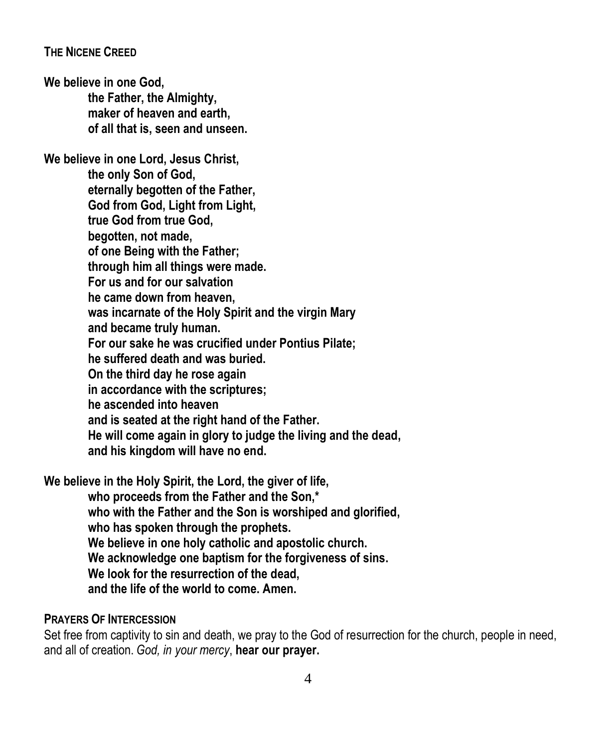### **THE NICENE CREED**

**We believe in one God, the Father, the Almighty, maker of heaven and earth, of all that is, seen and unseen.**

**We believe in one Lord, Jesus Christ, the only Son of God, eternally begotten of the Father, God from God, Light from Light, true God from true God, begotten, not made, of one Being with the Father; through him all things were made. For us and for our salvation he came down from heaven, was incarnate of the Holy Spirit and the virgin Mary and became truly human. For our sake he was crucified under Pontius Pilate; he suffered death and was buried. On the third day he rose again in accordance with the scriptures; he ascended into heaven and is seated at the right hand of the Father. He will come again in glory to judge the living and the dead, and his kingdom will have no end.**

**We believe in the Holy Spirit, the Lord, the giver of life,**

**who proceeds from the Father and the Son,\* who with the Father and the Son is worshiped and glorified, who has spoken through the prophets. We believe in one holy catholic and apostolic church. We acknowledge one baptism for the forgiveness of sins. We look for the resurrection of the dead, and the life of the world to come. Amen.**

### **PRAYERS OF INTERCESSION**

Set free from captivity to sin and death, we pray to the God of resurrection for the church, people in need, and all of creation. *God, in your mercy*, **hear our prayer.**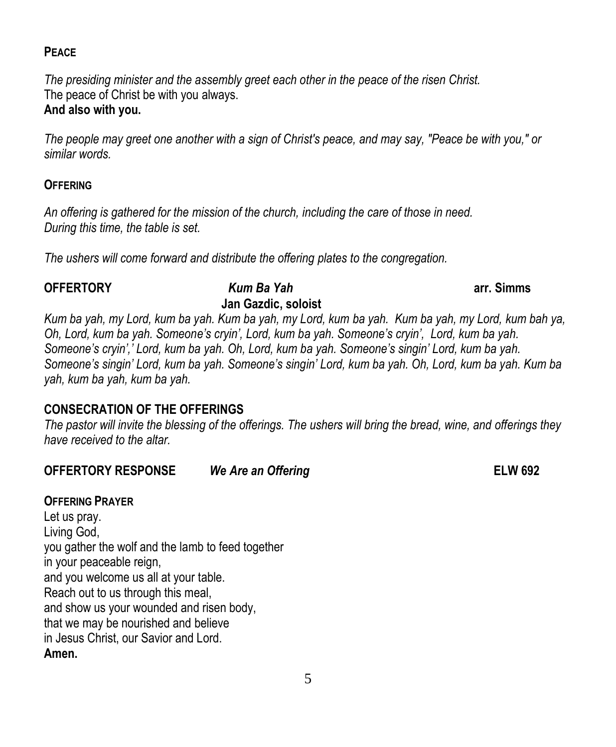# **PEACE**

*The presiding minister and the assembly greet each other in the peace of the risen Christ.* The peace of Christ be with you always.

# **And also with you.**

*The people may greet one another with a sign of Christ's peace, and may say, "Peace be with you," or similar words.*

# **OFFERING**

*An offering is gathered for the mission of the church, including the care of those in need. During this time, the table is set.*

*The ushers will come forward and distribute the offering plates to the congregation.*

#### **OFFERTORY** *Kum Ba Yah* **arr. Simms Jan Gazdic, soloist**

*Kum ba yah, my Lord, kum ba yah. Kum ba yah, my Lord, kum ba yah. Kum ba yah, my Lord, kum bah ya, Oh, Lord, kum ba yah. Someone's cryin', Lord, kum ba yah. Someone's cryin', Lord, kum ba yah. Someone's cryin',' Lord, kum ba yah. Oh, Lord, kum ba yah. Someone's singin' Lord, kum ba yah. Someone's singin' Lord, kum ba yah. Someone's singin' Lord, kum ba yah. Oh, Lord, kum ba yah. Kum ba yah, kum ba yah, kum ba yah.*

# **CONSECRATION OF THE OFFERINGS**

*The pastor will invite the blessing of the offerings. The ushers will bring the bread, wine, and offerings they have received to the altar.*

**OFFERTORY RESPONSE** *We Are an Offering* **ELW 692**

# **OFFERING PRAYER**

Let us pray. Living God, you gather the wolf and the lamb to feed together in your peaceable reign, and you welcome us all at your table. Reach out to us through this meal, and show us your wounded and risen body, that we may be nourished and believe in Jesus Christ, our Savior and Lord. **Amen.**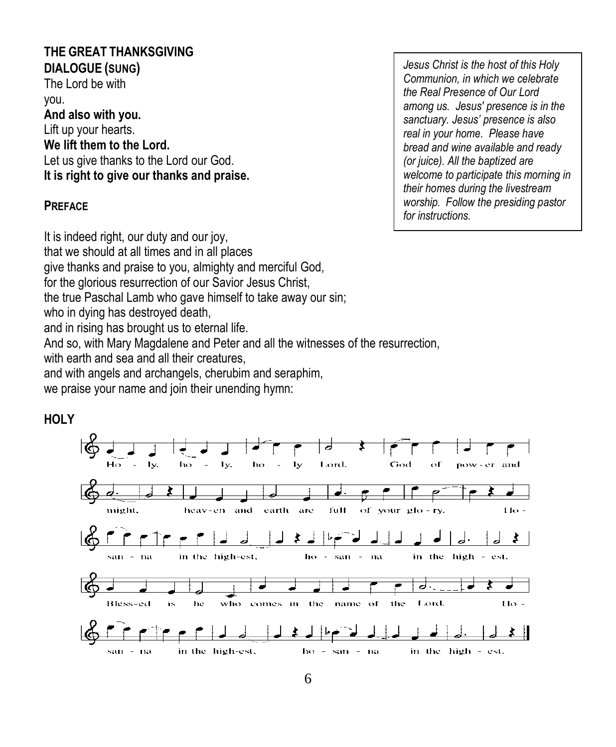# **THE GREAT THANKSGIVING DIALOGUE (SUNG)**

The Lord be with you. **And also with you.** Lift up your hearts. **We lift them to the Lord.**

Let us give thanks to the Lord our God. **It is right to give our thanks and praise.**

### **PREFACE**

It is indeed right, our duty and our joy, that we should at all times and in all places give thanks and praise to you, almighty and merciful God, for the glorious resurrection of our Savior Jesus Christ, the true Paschal Lamb who gave himself to take away our sin; who in dying has destroyed death,

and in rising has brought us to eternal life.

And so, with Mary Magdalene and Peter and all the witnesses of the resurrection,

with earth and sea and all their creatures

and with angels and archangels, cherubim and seraphim,

we praise your name and join their unending hymn:



*Jesus Christ is the host of this Holy Communion, in which we celebrate the Real Presence of Our Lord among us. Jesus' presence is in the sanctuary. Jesus' presence is also real in your home. Please have bread and wine available and ready (or juice). All the baptized are welcome to participate this morning in their homes during the livestream worship. Follow the presiding pastor for instructions.*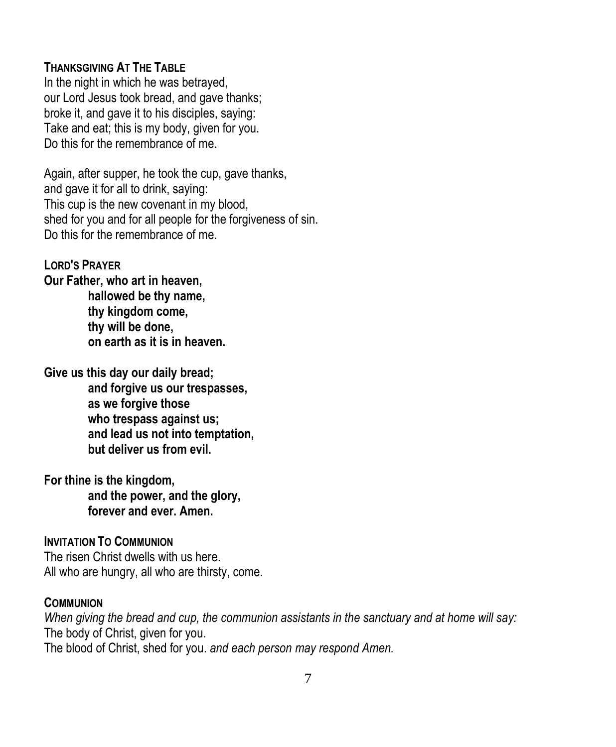### **THANKSGIVING AT THE TABLE**

In the night in which he was betrayed, our Lord Jesus took bread, and gave thanks; broke it, and gave it to his disciples, saying: Take and eat; this is my body, given for you. Do this for the remembrance of me.

Again, after supper, he took the cup, gave thanks, and gave it for all to drink, saying: This cup is the new covenant in my blood, shed for you and for all people for the forgiveness of sin. Do this for the remembrance of me.

# **LORD'S PRAYER**

**Our Father, who art in heaven, hallowed be thy name, thy kingdom come, thy will be done, on earth as it is in heaven.**

**Give us this day our daily bread;**

**and forgive us our trespasses, as we forgive those who trespass against us; and lead us not into temptation, but deliver us from evil.**

**For thine is the kingdom, and the power, and the glory, forever and ever. Amen.**

#### **INVITATION TO COMMUNION**

The risen Christ dwells with us here. All who are hungry, all who are thirsty, come.

#### **COMMUNION**

*When giving the bread and cup, the communion assistants in the sanctuary and at home will say:* The body of Christ, given for you. The blood of Christ, shed for you. *and each person may respond Amen.*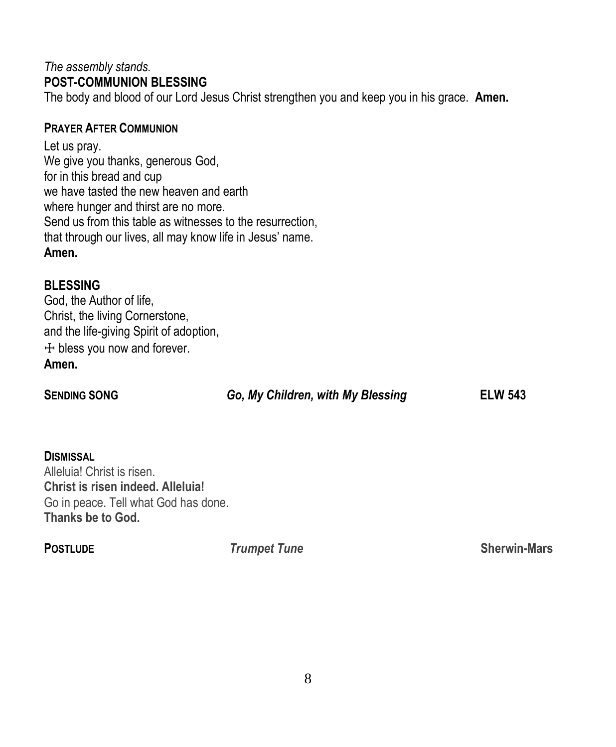# *The assembly stands.* **POST-COMMUNION BLESSING**

The body and blood of our Lord Jesus Christ strengthen you and keep you in his grace. **Amen.**

# **PRAYER AFTER COMMUNION**

Let us pray. We give you thanks, generous God, for in this bread and cup we have tasted the new heaven and earth where hunger and thirst are no more. Send us from this table as witnesses to the resurrection, that through our lives, all may know life in Jesus' name. **Amen.**

# **BLESSING**

God, the Author of life, Christ, the living Cornerstone, and the life-giving Spirit of adoption, ☩ bless you now and forever. **Amen.**

# **SENDING SONG** *Go, My Children, with My Blessing* **ELW 543**

**DISMISSAL** Alleluia! Christ is risen. **Christ is risen indeed. Alleluia!** Go in peace. Tell what God has done. **Thanks be to God.**

**POSTLUDE** *Trumpet Tune* **Sherwin-Mars**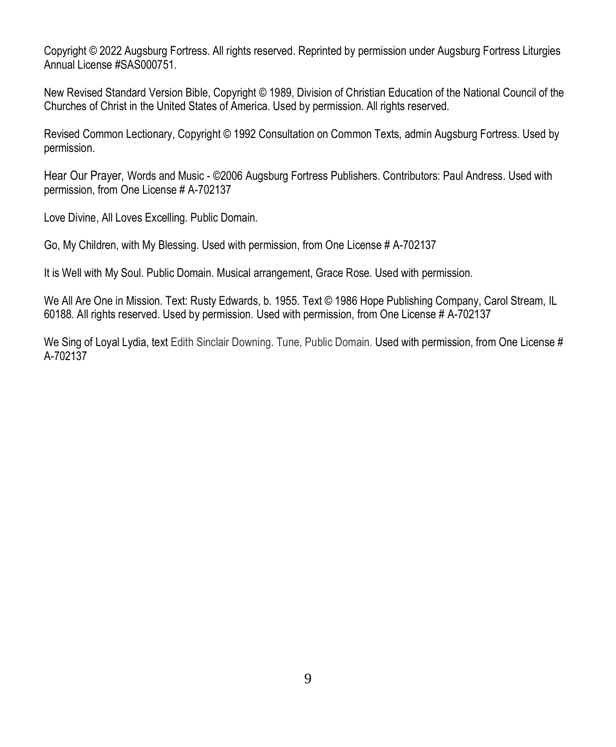Copyright © 2022 Augsburg Fortress. All rights reserved. Reprinted by permission under Augsburg Fortress Liturgies Annual License #SAS000751.

New Revised Standard Version Bible, Copyright © 1989, Division of Christian Education of the National Council of the Churches of Christ in the United States of America. Used by permission. All rights reserved.

Revised Common Lectionary, Copyright © 1992 Consultation on Common Texts, admin Augsburg Fortress. Used by permission.

Hear Our Prayer, Words and Music - ©2006 Augsburg Fortress Publishers. Contributors: Paul Andress. Used with permission, from One License # A-702137

Love Divine, All Loves Excelling. Public Domain.

Go, My Children, with My Blessing. Used with permission, from One License # A-702137

It is Well with My Soul. Public Domain. Musical arrangement, Grace Rose. Used with permission.

We All Are One in Mission. Text: Rusty Edwards, b. 1955. Text © 1986 Hope Publishing Company, Carol Stream, IL 60188. All rights reserved. Used by permission. Used with permission, from One License # A-702137

We Sing of Loyal Lydia, text Edith Sinclair Downing. Tune, Public Domain. Used with permission, from One License # A-702137